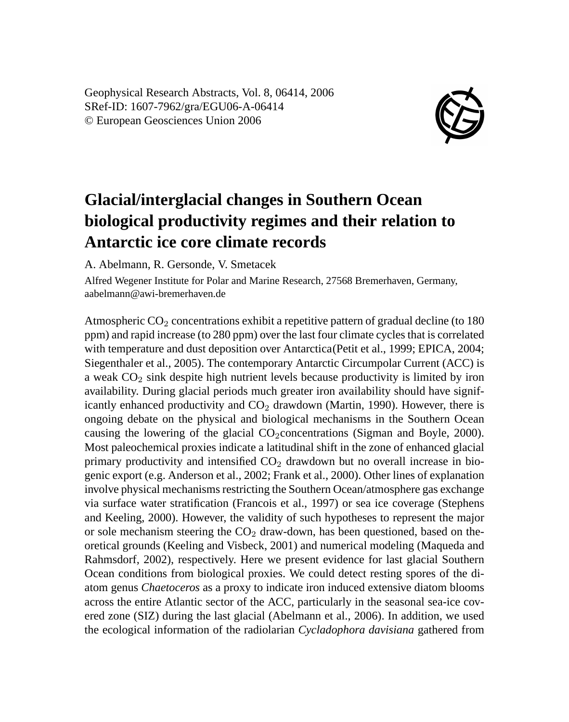Geophysical Research Abstracts, Vol. 8, 06414, 2006 SRef-ID: 1607-7962/gra/EGU06-A-06414 © European Geosciences Union 2006



## **Glacial/interglacial changes in Southern Ocean biological productivity regimes and their relation to Antarctic ice core climate records**

A. Abelmann, R. Gersonde, V. Smetacek

Alfred Wegener Institute for Polar and Marine Research, 27568 Bremerhaven, Germany, aabelmann@awi-bremerhaven.de

Atmospheric  $CO<sub>2</sub>$  concentrations exhibit a repetitive pattern of gradual decline (to 180 ppm) and rapid increase (to 280 ppm) over the last four climate cycles that is correlated with temperature and dust deposition over Antarctica(Petit et al., 1999; EPICA, 2004; Siegenthaler et al., 2005). The contemporary Antarctic Circumpolar Current (ACC) is a weak  $CO<sub>2</sub>$  sink despite high nutrient levels because productivity is limited by iron availability. During glacial periods much greater iron availability should have significantly enhanced productivity and  $CO<sub>2</sub>$  drawdown (Martin, 1990). However, there is ongoing debate on the physical and biological mechanisms in the Southern Ocean causing the lowering of the glacial  $CO_2$ concentrations (Sigman and Boyle, 2000). Most paleochemical proxies indicate a latitudinal shift in the zone of enhanced glacial primary productivity and intensified  $CO<sub>2</sub>$  drawdown but no overall increase in biogenic export (e.g. Anderson et al., 2002; Frank et al., 2000). Other lines of explanation involve physical mechanisms restricting the Southern Ocean/atmosphere gas exchange via surface water stratification (Francois et al., 1997) or sea ice coverage (Stephens and Keeling, 2000). However, the validity of such hypotheses to represent the major or sole mechanism steering the  $CO<sub>2</sub>$  draw-down, has been questioned, based on theoretical grounds (Keeling and Visbeck, 2001) and numerical modeling (Maqueda and Rahmsdorf, 2002), respectively. Here we present evidence for last glacial Southern Ocean conditions from biological proxies. We could detect resting spores of the diatom genus *Chaetoceros* as a proxy to indicate iron induced extensive diatom blooms across the entire Atlantic sector of the ACC, particularly in the seasonal sea-ice covered zone (SIZ) during the last glacial (Abelmann et al., 2006). In addition, we used the ecological information of the radiolarian *Cycladophora davisiana* gathered from